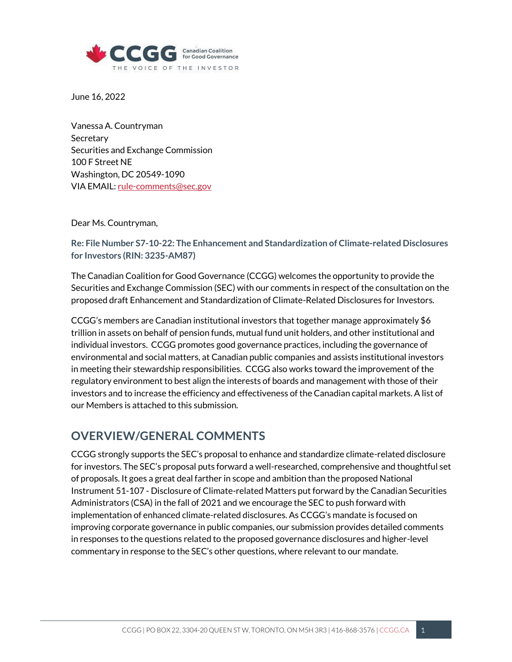

June 16, 2022

Vanessa A. Countryman **Secretary** Securities and Exchange Commission 100 F Street NE Washington, DC 20549-1090 VIA EMAIL: [rule-comments@sec.gov](mailto:rule-comments@sec.gov)

Dear Ms. Countryman,

**Re: File Number S7-10-22: The Enhancement and Standardization of Climate-related Disclosures for Investors (RIN: 3235-AM87)**

The Canadian Coalition for Good Governance (CCGG) welcomes the opportunity to provide the Securities and Exchange Commission (SEC) with our comments in respect of the consultation on the proposed draft Enhancement and Standardization of Climate-Related Disclosures for Investors.

CCGG's members are Canadian institutional investors that together manage approximately \$6 trillion in assets on behalf of pension funds, mutual fund unit holders, and other institutional and individual investors. CCGG promotes good governance practices, including the governance of environmental and social matters, at Canadian public companies and assists institutional investors in meeting their stewardship responsibilities. CCGG also works toward the improvement of the regulatory environment to best align the interests of boards and management with those of their investors and to increase the efficiency and effectiveness of the Canadian capital markets. A list of our Members is attached to this submission.

## **OVERVIEW/GENERAL COMMENTS**

CCGG strongly supports the SEC's proposal to enhance and standardize climate-related disclosure for investors. The SEC's proposal puts forward a well-researched, comprehensive and thoughtful set of proposals. It goes a great deal farther in scope and ambition than the proposed National Instrument 51-107 - Disclosure of Climate-related Matters put forward by the Canadian Securities Administrators (CSA) in the fall of 2021 and we encourage the SEC to push forward with implementation of enhanced climate-related disclosures. As CCGG's mandate is focused on improving corporate governance in public companies, our submission provides detailed comments in responses to the questions related to the proposed governance disclosures and higher-level commentary in response to the SEC's other questions, where relevant to our mandate.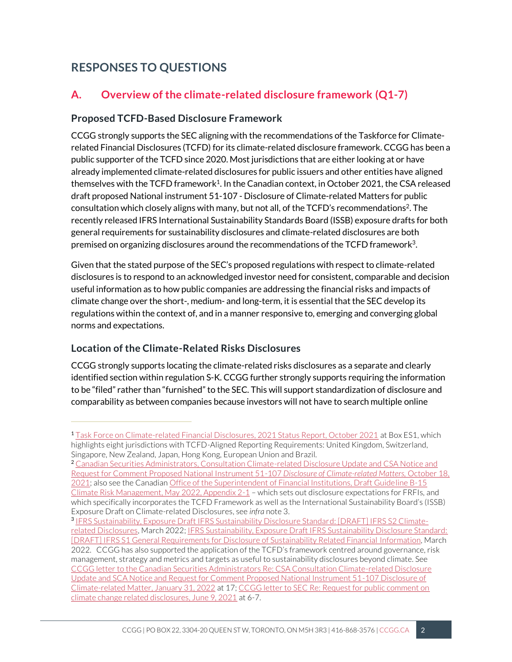## **RESPONSES TO QUESTIONS**

## **A. Overview of the climate-related disclosure framework (Q1-7)**

#### **Proposed TCFD-Based Disclosure Framework**

CCGG strongly supports the SEC aligning with the recommendations of the Taskforce for Climaterelated Financial Disclosures (TCFD) for its climate-related disclosure framework. CCGG has been a public supporter of the TCFD since 2020. Most jurisdictions that are either looking at or have already implemented climate-related disclosures for public issuers and other entities have aligned themselves with the TCFD framework $^1$ . In the Canadian context, in October 2021, the CSA released draft proposed National instrument 51-107 - Disclosure of Climate-related Matters for public consultation which closely aligns with many, but not all, of the TCFD's recommendations<sup>2</sup>. The recently released IFRS International Sustainability Standards Board (ISSB) exposure drafts for both general requirements for sustainability disclosures and climate-related disclosures are both premised on organizing disclosures around the recommendations of the TCFD framework $3$ .

Given that the stated purpose of the SEC's proposed regulations with respect to climate-related disclosures is to respond to an acknowledged investor need for consistent, comparable and decision useful information as to how public companies are addressing the financial risks and impacts of climate change over the short-, medium- and long-term, it is essential that the SEC develop its regulations within the context of, and in a manner responsive to, emerging and converging global norms and expectations.

### **Location of the Climate-Related Risks Disclosures**

CCGG strongly supports locating the climate-related risks disclosures as a separate and clearly identified section within regulation S-K. CCGG further strongly supports requiring the information to be "filed" rather than "furnished" to the SEC. This will support standardization of disclosure and comparability as between companies because investors will not have to search multiple online

<sup>2</sup> [Canadian Securities Administrators, Consultation Climate-related Disclosure Update and CSA Notice and](https://www.osc.ca/sites/default/files/2021-10/csa_20211018_51-107_disclosure-update.pdf)  [Request for Comment Proposed National Instrument 51-107](https://www.osc.ca/sites/default/files/2021-10/csa_20211018_51-107_disclosure-update.pdf) *Disclosure of Climate-related Matters,* October 18, [2021;](https://www.osc.ca/sites/default/files/2021-10/csa_20211018_51-107_disclosure-update.pdf) also see the Canadian [Office of the Superintendent of Financial Institutions, Draft Guideline B-15](https://www.osfi-bsif.gc.ca/Eng/fi-if/rg-ro/gdn-ort/gl-ld/Pages/b15-dft.aspx#ann2.3)  [Climate Risk Management, May 2022, Appendix 2-1](https://www.osfi-bsif.gc.ca/Eng/fi-if/rg-ro/gdn-ort/gl-ld/Pages/b15-dft.aspx#ann2.3) – which sets out disclosure expectations for FRFIs, and which specifically incorporates the TCFD Framework as well as the International Sustainability Board's (ISSB) Exposure Draft on Climate-related Disclosures, see *infra* note 3.

<sup>&</sup>lt;sup>1</sup> [Task Force on Climate-related Financial Disclosures, 2021 Status Report, October 2021](https://assets.bbhub.io/company/sites/60/2022/03/GPP_TCFD_Status_Report_2021_Book_v17.pdf) at Box ES1, which highlights eight jurisdictions with TCFD-Aligned Reporting Requirements: United Kingdom, Switzerland, Singapore, New Zealand, Japan, Hong Kong, European Union and Brazil.

<sup>3</sup> [IFRS Sustainability, Exposure Draft IFRS Sustainability Disclosure Standard: \[DRAFT\] IFRS S2 Climate](https://www.ifrs.org/content/dam/ifrs/project/climate-related-disclosures/issb-exposure-draft-2022-2-climate-related-disclosures.pdf)[related Disclosures,](https://www.ifrs.org/content/dam/ifrs/project/climate-related-disclosures/issb-exposure-draft-2022-2-climate-related-disclosures.pdf) March 2022; [IFRS Sustainability, Exposure Draft IFRS Sustainability Disclosure Standard:](https://www.ifrs.org/content/dam/ifrs/project/general-sustainability-related-disclosures/exposure-draft-ifrs-s1-general-requirements-for-disclosure-of-sustainability-related-financial-information.pdf)  [\[DRAFT\] IFRS S1 General Requirements for Disclosure of Sustainability Related Financial Information,](https://www.ifrs.org/content/dam/ifrs/project/general-sustainability-related-disclosures/exposure-draft-ifrs-s1-general-requirements-for-disclosure-of-sustainability-related-financial-information.pdf) March 2022. CCGG has also supported the application of the TCFD's framework centred around governance, risk management, strategy and metrics and targets as useful to sustainability disclosures beyond climate. See [CCGG letter to the Canadian Securities Administrators Re: CSA Consultation Climate-related Disclosure](https://ccgg.ca/regulatory-submissions/)  [Update and SCA Notice and Request for Comment Proposed National Instrument 51-107 Disclosure of](https://ccgg.ca/regulatory-submissions/)  [Climate-related Matter, January 31, 2022](https://ccgg.ca/regulatory-submissions/) at 17[; CCGG letter to SEC Re: Request for public comment on](https://ccgg.ca/regulatory-submissions/)  [climate change related disclosures, June 9, 2021](https://ccgg.ca/regulatory-submissions/) at 6-7.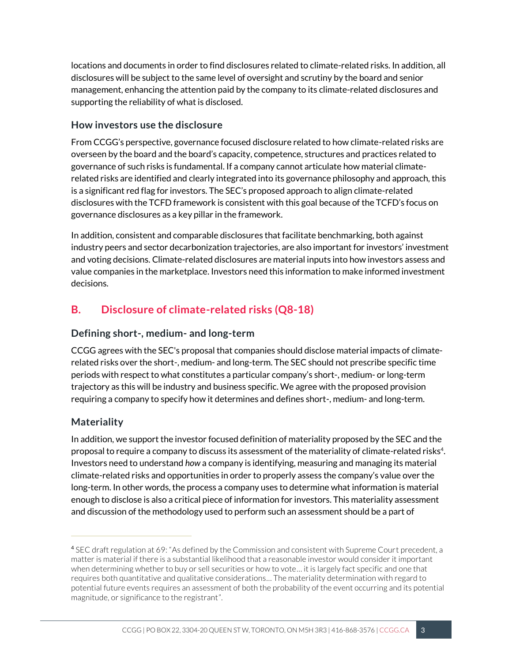locations and documents in order to find disclosures related to climate-related risks. In addition, all disclosures will be subject to the same level of oversight and scrutiny by the board and senior management, enhancing the attention paid by the company to its climate-related disclosures and supporting the reliability of what is disclosed.

#### **How investors use the disclosure**

From CCGG's perspective, governance focused disclosure related to how climate-related risks are overseen by the board and the board's capacity, competence, structures and practices related to governance of such risks is fundamental. If a company cannot articulate how material climaterelated risks are identified and clearly integrated into its governance philosophy and approach, this is a significant red flag for investors. The SEC's proposed approach to align climate-related disclosures with the TCFD framework is consistent with this goal because of the TCFD's focus on governance disclosures as a key pillar in the framework.

In addition, consistent and comparable disclosures that facilitate benchmarking, both against industry peers and sector decarbonization trajectories, are also important for investors' investment and voting decisions. Climate-related disclosures are material inputs into how investors assess and value companies in the marketplace. Investors need this information to make informed investment decisions.

## **B. Disclosure of climate-related risks (Q8-18)**

#### **Defining short-, medium- and long-term**

CCGG agrees with the SEC's proposal that companies should disclose material impacts of climaterelated risks over the short-, medium- and long-term. The SEC should not prescribe specific time periods with respect to what constitutes a particular company's short-, medium- or long-term trajectory as this will be industry and business specific. We agree with the proposed provision requiring a company to specify how it determines and defines short-, medium- and long-term.

### **Materiality**

In addition, we support the investor focused definition of materiality proposed by the SEC and the proposal to require a company to discuss its assessment of the materiality of climate-related risks<sup>4</sup>. Investors need to understand *how* a company is identifying, measuring and managing its material climate-related risks and opportunities in order to properly assess the company's value over the long-term. In other words, the process a company uses to determine what information is material enough to disclose is also a critical piece of information for investors. This materiality assessment and discussion of the methodology used to perform such an assessment should be a part of

<sup>4</sup> SEC draft regulation at 69: "As defined by the Commission and consistent with Supreme Court precedent, a matter is material if there is a substantial likelihood that a reasonable investor would consider it important when determining whether to buy or sell securities or how to vote… it is largely fact specific and one that requires both quantitative and qualitative considerations… The materiality determination with regard to potential future events requires an assessment of both the probability of the event occurring and its potential magnitude, or significance to the registrant".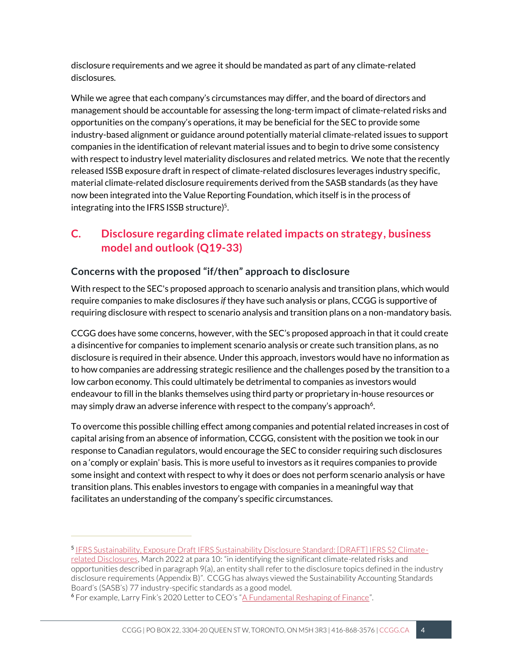disclosure requirements and we agree it should be mandated as part of any climate-related disclosures.

While we agree that each company's circumstances may differ, and the board of directors and management should be accountable for assessing the long-term impact of climate-related risks and opportunities on the company's operations, it may be beneficial for the SEC to provide some industry-based alignment or guidance around potentially material climate-related issues to support companies in the identification of relevant material issues and to begin to drive some consistency with respect to industry level materiality disclosures and related metrics. We note that the recently released ISSB exposure draft in respect of climate-related disclosures leverages industry specific, material climate-related disclosure requirements derived from the SASB standards (as they have now been integrated into the Value Reporting Foundation, which itself is in the process of integrating into the IFRS ISSB structure)<sup>5</sup> .

## **C. Disclosure regarding climate related impacts on strategy, business model and outlook (Q19-33)**

### **Concerns with the proposed "if/then" approach to disclosure**

With respect to the SEC's proposed approach to scenario analysis and transition plans, which would require companies to make disclosures *if* they have such analysis or plans, CCGG is supportive of requiring disclosure with respect to scenario analysis and transition plans on a non-mandatory basis.

CCGG does have some concerns, however, with the SEC's proposed approach in that it could create a disincentive for companies to implement scenario analysis or create such transition plans, as no disclosure is required in their absence. Under this approach, investors would have no information as to how companies are addressing strategic resilience and the challenges posed by the transition to a low carbon economy. This could ultimately be detrimental to companies as investors would endeavour to fill in the blanks themselves using third party or proprietary in-house resources or may simply draw an adverse inference with respect to the company's approach<sup>6</sup>.

To overcome this possible chilling effect among companies and potential related increases in cost of capital arising from an absence of information, CCGG, consistent with the position we took in our response to Canadian regulators, would encourage the SEC to consider requiring such disclosures on a 'comply or explain' basis. This is more useful to investors as it requires companies to provide some insight and context with respect to why it does or does not perform scenario analysis or have transition plans. This enables investors to engage with companies in a meaningful way that facilitates an understanding of the company's specific circumstances.

<sup>5</sup> [IFRS Sustainability, Exposure Draft IFRS Sustainability Disclosure Standard: \[DRAFT\] IFRS S2 Climate](https://www.ifrs.org/content/dam/ifrs/project/climate-related-disclosures/issb-exposure-draft-2022-2-climate-related-disclosures.pdf)[related Disclosures,](https://www.ifrs.org/content/dam/ifrs/project/climate-related-disclosures/issb-exposure-draft-2022-2-climate-related-disclosures.pdf) March 2022 at para 10: "in identifying the significant climate-related risks and opportunities described in paragraph 9(a), an entity shall refer to the disclosure topics defined in the industry disclosure requirements (Appendix B)". CCGG has always viewed the Sustainability Accounting Standards Board's (SASB's) 77 industry-specific standards as a good model.

<sup>6</sup> For example, Larry Fink's 2020 Letter to CEO's "[A Fundamental Reshaping of Finance](https://www.blackrock.com/corporate/investor-relations/2020-larry-fink-ceo-letter)".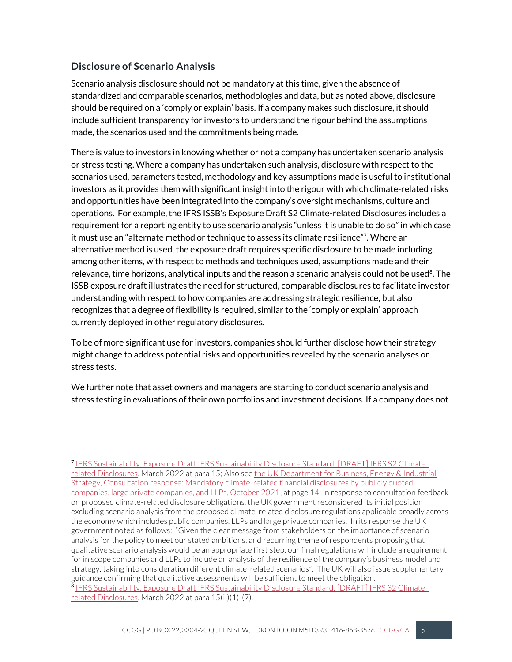#### **Disclosure of Scenario Analysis**

Scenario analysis disclosure should not be mandatory at this time, given the absence of standardized and comparable scenarios, methodologies and data, but as noted above, disclosure should be required on a 'comply or explain' basis. If a company makes such disclosure, it should include sufficient transparency for investors to understand the rigour behind the assumptions made, the scenarios used and the commitments being made.

There is value to investors in knowing whether or not a company has undertaken scenario analysis or stress testing. Where a company has undertaken such analysis, disclosure with respect to the scenarios used, parameters tested, methodology and key assumptions made is useful to institutional investors as it provides them with significant insight into the rigour with which climate-related risks and opportunities have been integrated into the company's oversight mechanisms, culture and operations. For example, the IFRS ISSB's Exposure Draft S2 Climate-related Disclosures includes a requirement for a reporting entity to use scenario analysis "unless it is unable to do so" in which case it must use an "alternate method or technique to assess its climate resilience"<sup>7</sup> . Where an alternative method is used, the exposure draft requires specific disclosure to be made including, among other items, with respect to methods and techniques used, assumptions made and their relevance, time horizons, analytical inputs and the reason a scenario analysis could not be used $^8$ . The ISSB exposure draft illustrates the need for structured, comparable disclosures to facilitate investor understanding with respect to how companies are addressing strategic resilience, but also recognizes that a degree of flexibility is required, similar to the 'comply or explain' approach currently deployed in other regulatory disclosures.

To be of more significant use for investors, companies should further disclose how their strategy might change to address potential risks and opportunities revealed by the scenario analyses or stress tests.

We further note that asset owners and managers are starting to conduct scenario analysis and stress testing in evaluations of their own portfolios and investment decisions. If a company does not

<sup>7</sup> [IFRS Sustainability, Exposure Draft IFRS Sustainability Disclosure Standard: \[DRAFT\] IFRS S2 Climate](https://www.ifrs.org/content/dam/ifrs/project/climate-related-disclosures/issb-exposure-draft-2022-2-climate-related-disclosures.pdf)[related Disclosures,](https://www.ifrs.org/content/dam/ifrs/project/climate-related-disclosures/issb-exposure-draft-2022-2-climate-related-disclosures.pdf) March 2022 at para 15; Also se[e the UK Department for Business, Energy & Industrial](file:///C:/Users/sarah/Autotask%20Workplace/Shared%20-%20Documents/Sarah/Submissions/CSA%20climate%20change%20disclosures/UK%20-%20Oct%202021%20tcfd-consultation-government-response.pdf)  [Strategy, Consultation response: Mandatory climate-related financial disclosures by publicly quoted](file:///C:/Users/sarah/Autotask%20Workplace/Shared%20-%20Documents/Sarah/Submissions/CSA%20climate%20change%20disclosures/UK%20-%20Oct%202021%20tcfd-consultation-government-response.pdf)  [companies, large private companies, and LLPs, October 2021,](file:///C:/Users/sarah/Autotask%20Workplace/Shared%20-%20Documents/Sarah/Submissions/CSA%20climate%20change%20disclosures/UK%20-%20Oct%202021%20tcfd-consultation-government-response.pdf) at page 14: in response to consultation feedback on proposed climate-related disclosure obligations, the UK government reconsidered its initial position excluding scenario analysis from the proposed climate-related disclosure regulations applicable broadly across the economy which includes public companies, LLPs and large private companies. In its response the UK government noted as follows: "Given the clear message from stakeholders on the importance of scenario analysis for the policy to meet our stated ambitions, and recurring theme of respondents proposing that qualitative scenario analysis would be an appropriate first step, our final regulations will include a requirement for in scope companies and LLPs to include an analysis of the resilience of the company's business model and strategy, taking into consideration different climate-related scenarios". The UK will also issue supplementary guidance confirming that qualitative assessments will be sufficient to meet the obligation. <sup>8</sup> [IFRS Sustainability, Exposure Draft IFRS Sustainability Disclosure Standard: \[DRAFT\] IFRS S2 Climate](https://www.ifrs.org/content/dam/ifrs/project/climate-related-disclosures/issb-exposure-draft-2022-2-climate-related-disclosures.pdf)[related Disclosures,](https://www.ifrs.org/content/dam/ifrs/project/climate-related-disclosures/issb-exposure-draft-2022-2-climate-related-disclosures.pdf) March 2022 at para 15(ii)(1)-(7).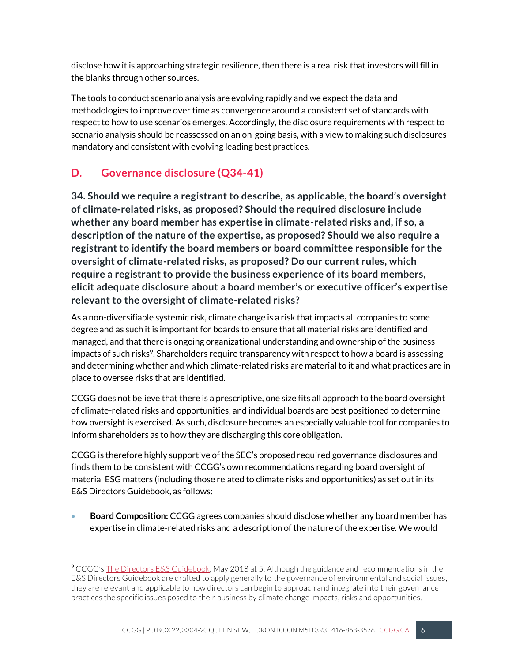disclose how it is approaching strategic resilience, then there is a real risk that investors will fill in the blanks through other sources.

The tools to conduct scenario analysis are evolving rapidly and we expect the data and methodologies to improve over time as convergence around a consistent set of standards with respect to how to use scenarios emerges. Accordingly, the disclosure requirements with respect to scenario analysis should be reassessed on an on-going basis, with a view to making such disclosures mandatory and consistent with evolving leading best practices.

## **D. Governance disclosure (Q34-41)**

**34. Should we require a registrant to describe, as applicable, the board's oversight of climate-related risks, as proposed? Should the required disclosure include whether any board member has expertise in climate-related risks and, if so, a description of the nature of the expertise, as proposed? Should we also require a registrant to identify the board members or board committee responsible for the oversight of climate-related risks, as proposed? Do our current rules, which require a registrant to provide the business experience of its board members, elicit adequate disclosure about a board member's or executive officer's expertise relevant to the oversight of climate-related risks?** 

As a non-diversifiable systemic risk, climate change is a risk that impacts all companies to some degree and as such it is important for boards to ensure that all material risks are identified and managed, and that there is ongoing organizational understanding and ownership of the business impacts of such risks<sup>9</sup>. Shareholders require transparency with respect to how a board is assessing and determining whether and which climate-related risks are material to it and what practices are in place to oversee risks that are identified.

CCGG does not believe that there is a prescriptive, one size fits all approach to the board oversight of climate-related risks and opportunities, and individual boards are best positioned to determine how oversight is exercised. As such, disclosure becomes an especially valuable tool for companies to inform shareholders as to how they are discharging this core obligation.

CCGG is therefore highly supportive of the SEC's proposed required governance disclosures and finds them to be consistent with CCGG's own recommendations regarding board oversight of material ESG matters (including those related to climate risks and opportunities) as set out in its E&S Directors Guidebook, as follows:

• **Board Composition:** CCGG agrees companies should disclose whether any board member has expertise in climate-related risks and a description of the nature of the expertise. We would

<sup>9</sup> CCGG's [The Directors E&S Guidebook,](https://ccgg.ca/wp-content/uploads/2019/01/The-Directors-ES-Guidebook-2018.pdf) May 2018 at 5. Although the guidance and recommendations in the E&S Directors Guidebook are drafted to apply generally to the governance of environmental and social issues, they are relevant and applicable to how directors can begin to approach and integrate into their governance practices the specific issues posed to their business by climate change impacts, risks and opportunities.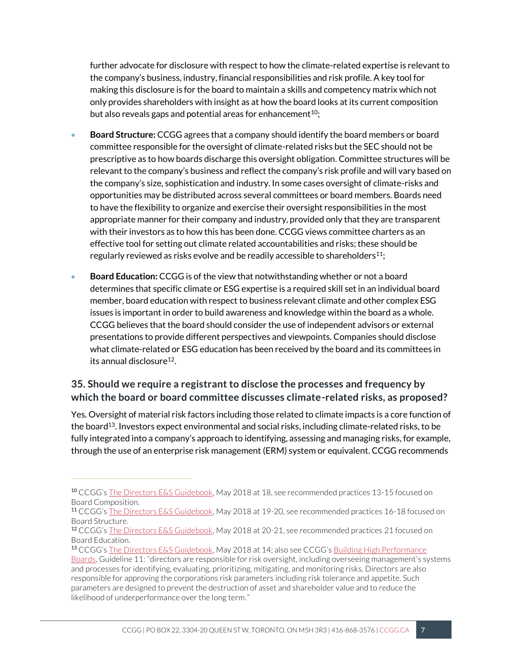further advocate for disclosure with respect to how the climate-related expertise is relevant to the company's business, industry, financial responsibilities and risk profile. A key tool for making this disclosure is for the board to maintain a skills and competency matrix which not only provides shareholders with insight as at how the board looks at its current composition but also reveals gaps and potential areas for enhancement<sup>10</sup>;

- **Board Structure:** CCGG agrees that a company should identify the board members or board committee responsible for the oversight of climate-related risks but the SEC should not be prescriptive as to how boards discharge this oversight obligation. Committee structures will be relevant to the company's business and reflect the company's risk profile and will vary based on the company's size, sophistication and industry. In some cases oversight of climate-risks and opportunities may be distributed across several committees or board members. Boards need to have the flexibility to organize and exercise their oversight responsibilities in the most appropriate manner for their company and industry, provided only that they are transparent with their investors as to how this has been done. CCGG views committee charters as an effective tool for setting out climate related accountabilities and risks; these should be regularly reviewed as risks evolve and be readily accessible to shareholders<sup>11</sup>;
- **Board Education:** CCGG is of the view that notwithstanding whether or not a board determines that specific climate or ESG expertise is a required skill set in an individual board member, board education with respect to business relevant climate and other complex ESG issues is important in order to build awareness and knowledge within the board as a whole. CCGG believes that the board should consider the use of independent advisors or external presentations to provide different perspectives and viewpoints. Companies should disclose what climate-related or ESG education has been received by the board and its committees in its annual disclosure<sup>12</sup>.

### **35. Should we require a registrant to disclose the processes and frequency by which the board or board committee discusses climate-related risks, as proposed?**

Yes. Oversight of material risk factors including those related to climate impacts is a core function of the board<sup>13</sup>. Investors expect environmental and social risks, including climate-related risks, to be fully integrated into a company's approach to identifying, assessing and managing risks, for example, through the use of an enterprise risk management (ERM) system or equivalent. CCGG recommends

<sup>10</sup> CCGG's [The Directors E&S Guidebook,](https://ccgg.ca/wp-content/uploads/2019/01/The-Directors-ES-Guidebook-2018.pdf) May 2018 at 18, see recommended practices 13-15 focused on Board Composition.

<sup>11</sup> CCGG's [The Directors E&S Guidebook,](https://ccgg.ca/wp-content/uploads/2019/01/The-Directors-ES-Guidebook-2018.pdf) May 2018 at 19-20, see recommended practices 16-18 focused on Board Structure.

<sup>12</sup> CCGG's [The Directors E&S Guidebook,](https://ccgg.ca/wp-content/uploads/2019/01/The-Directors-ES-Guidebook-2018.pdf) May 2018 at 20-21, see recommended practices 21 focused on Board Education.

<sup>13</sup> CCGG's [The Directors E&S Guidebook](https://ccgg.ca/wp-content/uploads/2019/01/The-Directors-ES-Guidebook-2018.pdf), May 2018 at 14; also see CCGG's [Building High Performance](https://ccgg.ca/policies/)  [Boards,](https://ccgg.ca/policies/) Guideline 11: "directors are responsible for risk oversight, including overseeing management's systems and processes for identifying, evaluating, prioritizing, mitigating, and monitoring risks. Directors are also responsible for approving the corporations risk parameters including risk tolerance and appetite. Such parameters are designed to prevent the destruction of asset and shareholder value and to reduce the likelihood of underperformance over the long term."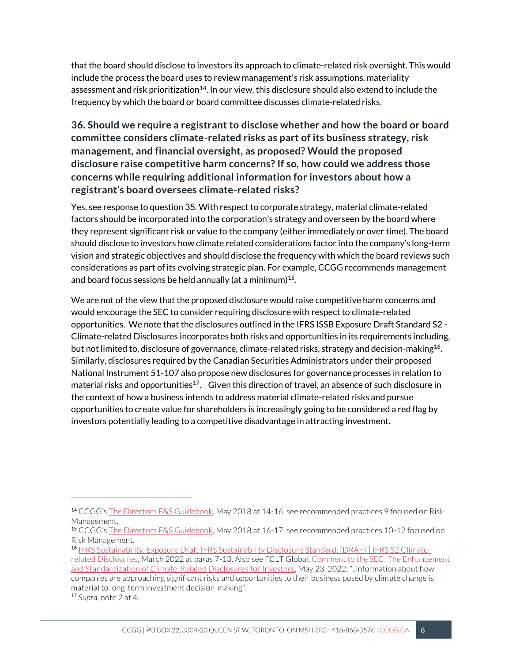that the board should disclose to investors its approach to climate-related risk oversight. This would include the process the board uses to review management's risk assumptions, materiality assessment and risk prioritization<sup>14</sup>. In our view, this disclosure should also extend to include the frequency by which the board or board committee discusses climate-related risks.

**36. Should we require a registrant to disclose whether and how the board or board committee considers climate-related risks as part of its business strategy, risk management, and financial oversight, as proposed? Would the proposed disclosure raise competitive harm concerns? If so, how could we address those concerns while requiring additional information for investors about how a registrant's board oversees climate-related risks?** 

Yes, see response to question 35. With respect to corporate strategy, material climate-related factors should be incorporated into the corporation's strategy and overseen by the board where they represent significant risk or value to the company (either immediately or over time). The board should disclose to investors how climate related considerations factor into the company's long-term vision and strategic objectives and should disclose the frequency with which the board reviews such considerations as part of its evolving strategic plan. For example, CCGG recommends management and board focus sessions be held annually (at a minimum) 15 .

We are not of the view that the proposed disclosure would raise competitive harm concerns and would encourage the SEC to consider requiring disclosure with respect to climate-related opportunities. We note that the disclosures outlined in the IFRS ISSB Exposure Draft Standard S2 - Climate-related Disclosures incorporates both risks and opportunities in its requirements including, but not limited to, disclosure of governance, climate-related risks, strategy and decision-making<sup>16</sup>. Similarly, disclosures required by the Canadian Securities Administrators under their proposed National Instrument 51-107 also propose new disclosures for governance processes in relation to material risks and opportunities<sup>17</sup>. Given this direction of travel, an absence of such disclosure in the context of how a business intends to address material climate-related risks and pursue opportunities to create value for shareholders is increasingly going to be considered a red flag by investors potentially leading to a competitive disadvantage in attracting investment.

<sup>14</sup> CCGG's [The Directors E&S Guidebook,](https://ccgg.ca/wp-content/uploads/2019/01/The-Directors-ES-Guidebook-2018.pdf) May 2018 at 14-16, see recommended practices 9 focused on Risk Management.

<sup>15</sup> CCGG's [The Directors E&S Guidebook,](https://ccgg.ca/wp-content/uploads/2019/01/The-Directors-ES-Guidebook-2018.pdf) May 2018 at 16-17, see recommended practices 10-12 focused on Risk Management.

<sup>16</sup> [IFRS Sustainability, Exposure Draft IFRS Sustainability Disclosure Standard: \[DRAFT\] IFRS S2 Climate](https://www.ifrs.org/content/dam/ifrs/project/climate-related-disclosures/issb-exposure-draft-2022-2-climate-related-disclosures.pdf)[related Disclosures,](https://www.ifrs.org/content/dam/ifrs/project/climate-related-disclosures/issb-exposure-draft-2022-2-climate-related-disclosures.pdf) March 2022 at paras 7-13. Also see FCLT Global, [Comment to the SEC: The Enhancement](https://www.fcltglobal.org/resource/sec-climate-disclosure/)  [and Standardization of Climate-Related Disclosures for Investors](https://www.fcltglobal.org/resource/sec-climate-disclosure/), May 23, 2022: "..information about how companies are approaching significant risks and opportunities to their business posed by climate change is material to long-term investment decision-making".

<sup>17</sup> *Supra,* note 2 at 4.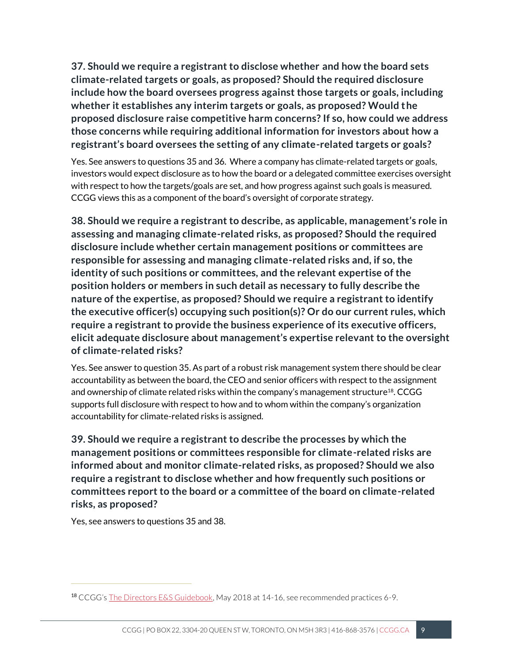**37. Should we require a registrant to disclose whether and how the board sets climate-related targets or goals, as proposed? Should the required disclosure include how the board oversees progress against those targets or goals, including whether it establishes any interim targets or goals, as proposed? Would the proposed disclosure raise competitive harm concerns? If so, how could we address those concerns while requiring additional information for investors about how a registrant's board oversees the setting of any climate-related targets or goals?** 

Yes. See answers to questions 35 and 36. Where a company has climate-related targets or goals, investors would expect disclosure as to how the board or a delegated committee exercises oversight with respect to how the targets/goals are set, and how progress against such goals is measured. CCGG views this as a component of the board's oversight of corporate strategy.

**38. Should we require a registrant to describe, as applicable, management's role in assessing and managing climate-related risks, as proposed? Should the required disclosure include whether certain management positions or committees are responsible for assessing and managing climate-related risks and, if so, the identity of such positions or committees, and the relevant expertise of the position holders or members in such detail as necessary to fully describe the nature of the expertise, as proposed? Should we require a registrant to identify the executive officer(s) occupying such position(s)? Or do our current rules, which require a registrant to provide the business experience of its executive officers, elicit adequate disclosure about management's expertise relevant to the oversight of climate-related risks?** 

Yes. See answer to question 35. As part of a robust risk management system there should be clear accountability as between the board, the CEO and senior officers with respect to the assignment and ownership of climate related risks within the company's management structure<sup>18</sup>. CCGG supports full disclosure with respect to how and to whom within the company's organization accountability for climate-related risks is assigned.

**39. Should we require a registrant to describe the processes by which the management positions or committees responsible for climate-related risks are informed about and monitor climate-related risks, as proposed? Should we also require a registrant to disclose whether and how frequently such positions or committees report to the board or a committee of the board on climate-related risks, as proposed?** 

Yes, see answers to questions 35 and 38.

<sup>18</sup> CCGG's [The Directors E&S Guidebook,](https://ccgg.ca/wp-content/uploads/2019/01/The-Directors-ES-Guidebook-2018.pdf) May 2018 at 14-16, see recommended practices 6-9.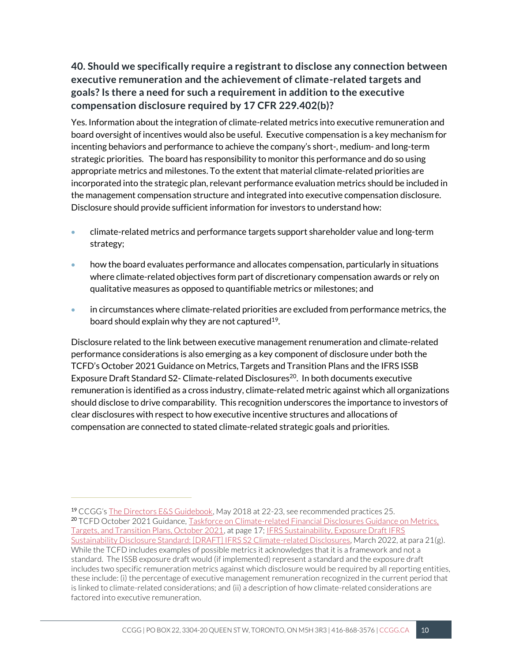## **40. Should we specifically require a registrant to disclose any connection between executive remuneration and the achievement of climate-related targets and goals? Is there a need for such a requirement in addition to the executive compensation disclosure required by 17 CFR 229.402(b)?**

Yes. Information about the integration of climate-related metrics into executive remuneration and board oversight of incentives would also be useful. Executive compensation is a key mechanism for incenting behaviors and performance to achieve the company's short-, medium- and long-term strategic priorities. The board has responsibility to monitor this performance and do so using appropriate metrics and milestones. To the extent that material climate-related priorities are incorporated into the strategic plan, relevant performance evaluation metrics should be included in the management compensation structure and integrated into executive compensation disclosure. Disclosure should provide sufficient information for investors to understand how:

- climate-related metrics and performance targets support shareholder value and long-term strategy;
- how the board evaluates performance and allocates compensation, particularly in situations where climate-related objectives form part of discretionary compensation awards or rely on qualitative measures as opposed to quantifiable metrics or milestones; and
- in circumstances where climate-related priorities are excluded from performance metrics, the board should explain why they are not captured $19$ .

Disclosure related to the link between executive management renumeration and climate-related performance considerations is also emerging as a key component of disclosure under both the TCFD's October 2021 Guidance on Metrics, Targets and Transition Plans and the IFRS ISSB Exposure Draft Standard S2- Climate-related Disclosures<sup>20</sup>. In both documents executive remuneration is identified as a cross industry, climate-related metric against which all organizations should disclose to drive comparability. This recognition underscores the importance to investors of clear disclosures with respect to how executive incentive structures and allocations of compensation are connected to stated climate-related strategic goals and priorities.

<sup>19</sup> CCGG's [The Directors E&S Guidebook,](https://ccgg.ca/wp-content/uploads/2019/01/The-Directors-ES-Guidebook-2018.pdf) May 2018 at 22-23, see recommended practices 25. <sup>20</sup> TCFD October 2021 Guidance, Taskforce on Climate-related Financial Disclosures Guidance on Metrics, [Targets, and Transition Plans, October 2021,](https://www.fsb-tcfd.org/publications/) at page 17; [IFRS Sustainability, Exposure Draft IFRS](https://www.ifrs.org/content/dam/ifrs/project/climate-related-disclosures/issb-exposure-draft-2022-2-climate-related-disclosures.pdf)  [Sustainability Disclosure Standard: \[DRAFT\] IFRS S2 Climate-related Disclosures,](https://www.ifrs.org/content/dam/ifrs/project/climate-related-disclosures/issb-exposure-draft-2022-2-climate-related-disclosures.pdf) March 2022, at para 21(g). While the TCFD includes examples of possible metrics it acknowledges that it is a framework and not a standard. The ISSB exposure draft would (if implemented) represent a standard and the exposure draft includes two specific remuneration metrics against which disclosure would be required by all reporting entities, these include: (i) the percentage of executive management remuneration recognized in the current period that is linked to climate-related considerations; and (ii) a description of how climate-related considerations are factored into executive remuneration.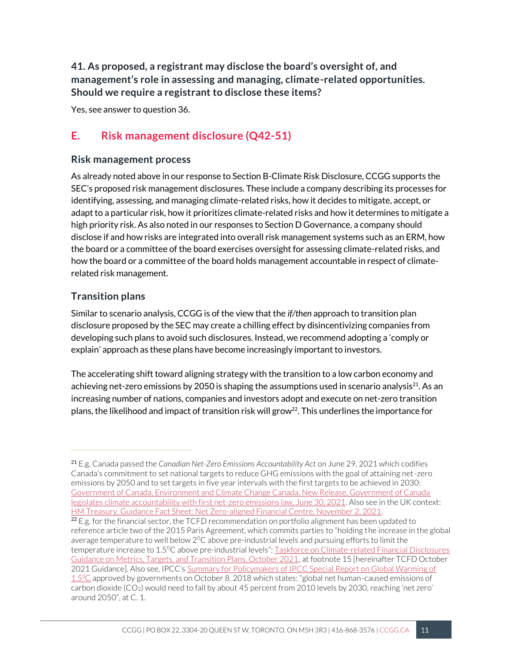**41. As proposed, a registrant may disclose the board's oversight of, and management's role in assessing and managing, climate-related opportunities. Should we require a registrant to disclose these items?**

Yes, see answer to question 36.

## **E. Risk management disclosure (Q42-51)**

#### **Risk management process**

As already noted above in our response to Section B-Climate Risk Disclosure, CCGG supports the SEC's proposed risk management disclosures. These include a company describing its processes for identifying, assessing, and managing climate-related risks, how it decides to mitigate, accept, or adapt to a particular risk, how it prioritizes climate-related risks and how it determines to mitigate a high priority risk. As also noted in our responses to Section D Governance, a company should disclose if and how risks are integrated into overall risk management systems such as an ERM, how the board or a committee of the board exercises oversight for assessing climate-related risks, and how the board or a committee of the board holds management accountable in respect of climaterelated risk management.

#### **Transition plans**

Similar to scenario analysis, CCGG is of the view that the *if/then* approach to transition plan disclosure proposed by the SEC may create a chilling effect by disincentivizing companies from developing such plans to avoid such disclosures. Instead, we recommend adopting a 'comply or explain' approach as these plans have become increasingly important to investors.

The accelerating shift toward aligning strategy with the transition to a low carbon economy and achieving net-zero emissions by 2050 is shaping the assumptions used in scenario analysis<sup>21</sup>. As an increasing number of nations, companies and investors adopt and execute on net-zero transition plans, the likelihood and impact of transition risk will grow<sup>22</sup>. This underlines the importance for

<sup>21</sup> E.g. Canada passed the *Canadian Net-Zero Emissions Accountability Act* on June 29, 2021 which codifies Canada's commitment to set national targets to reduce GHG emissions with the goal of attaining net-zero emissions by 2050 and to set targets in five year intervals with the first targets to be achieved in 2030: [Government of Canada, Environment and Climate Change Canada, New Release, Government of Canada](https://www.canada.ca/en/environment-climate-change/news/2021/06/government-of-canada-legislates-climate-accountability-with-first-net-zero-emissions-law.html)  [legislates climate accountability with first net-zero emissions law, June 30, 2021.](https://www.canada.ca/en/environment-climate-change/news/2021/06/government-of-canada-legislates-climate-accountability-with-first-net-zero-emissions-law.html) Also see in the UK context: [HM Treasury, Guidance Fact Sheet: Net Zero-aligned Financial Centre, November 2, 2021.](https://www.gov.uk/government/publications/fact-sheet-net-zero-aligned-financial-centre/fact-sheet-net-zero-aligned-financial-centre)

 $22$  E.g. for the financial sector, the TCFD recommendation on portfolio alignment has been updated to reference article two of the 2015 Paris Agreement, which commits parties to "holding the increase in the global average temperature to well below  $2^{0}C$  above pre-industrial levels and pursuing efforts to limit the temperature increase to 1.5<sup>0</sup>C above pre-industrial levels": [Taskforce on Climate-related Financial Disclosures](https://www.fsb-tcfd.org/publications/)  [Guidance on Metrics, Targets, and Transition Plans, October 2021,](https://www.fsb-tcfd.org/publications/) at footnote 15 [hereinafter TCFD October 2021 Guidance]. Also see, IPCC's [Summary for Policymakers of IPCC Special Report on Global Warming of](https://www.ipcc.ch/site/assets/uploads/sites/2/2019/05/SR15_SPM_version_report_LR.pdf)  [1.5](https://www.ipcc.ch/site/assets/uploads/sites/2/2019/05/SR15_SPM_version_report_LR.pdf)<sup>0</sup>C approved by governments on October 8, 2018 which states: "global net human-caused emissions of carbon dioxide (CO2) would need to fall by about 45 percent from 2010 levels by 2030, reaching 'net zero' around 2050", at C. 1.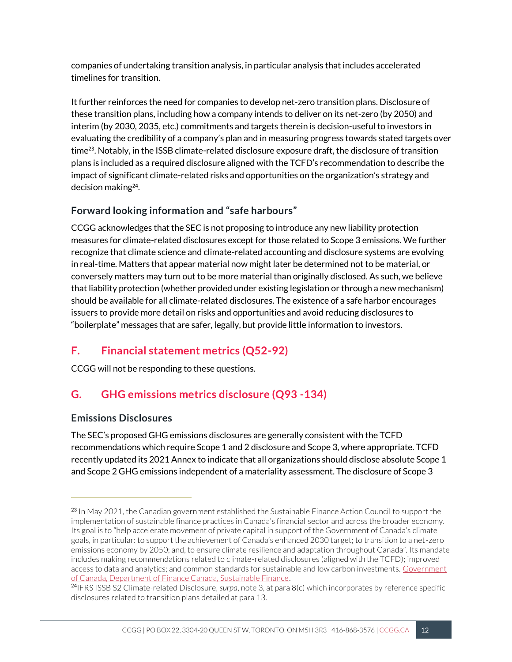companies of undertaking transition analysis, in particular analysis that includes accelerated timelines for transition.

It further reinforces the need for companies to develop net-zero transition plans. Disclosure of these transition plans, including how a company intends to deliver on its net-zero (by 2050) and interim (by 2030, 2035, etc.) commitments and targets therein is decision-useful to investors in evaluating the credibility of a company's plan and in measuring progress towards stated targets over time23. Notably, in the ISSB climate-related disclosure exposure draft, the disclosure of transition plans is included as a required disclosure aligned with the TCFD's recommendation to describe the impact of significant climate-related risks and opportunities on the organization's strategy and decision making<sup>24</sup> .

### **Forward looking information and "safe harbours"**

CCGG acknowledges that the SEC is not proposing to introduce any new liability protection measures for climate-related disclosures except for those related to Scope 3 emissions. We further recognize that climate science and climate-related accounting and disclosure systems are evolving in real-time. Matters that appear material now might later be determined not to be material, or conversely matters may turn out to be more material than originally disclosed. As such, we believe that liability protection (whether provided under existing legislation or through a new mechanism) should be available for all climate-related disclosures. The existence of a safe harbor encourages issuers to provide more detail on risks and opportunities and avoid reducing disclosures to "boilerplate" messages that are safer, legally, but provide little information to investors.

## **F. Financial statement metrics (Q52-92)**

CCGG will not be responding to these questions.

## **G. GHG emissions metrics disclosure (Q93 -134)**

### **Emissions Disclosures**

The SEC's proposed GHG emissions disclosures are generally consistent with the TCFD recommendations which require Scope 1 and 2 disclosure and Scope 3, where appropriate. TCFD recently updated its 2021 Annex to indicate that all organizations should disclose absolute Scope 1 and Scope 2 GHG emissions independent of a materiality assessment. The disclosure of Scope 3

<sup>&</sup>lt;sup>23</sup> In May 2021, the Canadian government established the Sustainable Finance Action Council to support the implementation of sustainable finance practices in Canada's financial sector and across the broader economy. Its goal is to "help accelerate movement of private capital in support of the Government of Canada's climate goals, in particular: to support the achievement of Canada's enhanced 2030 target; to transition to a net-zero emissions economy by 2050; and, to ensure climate resilience and adaptation throughout Canada". Its mandate includes making recommendations related to climate-related disclosures (aligned with the TCFD); improved access to data and analytics; and common standards for sustainable and low carbon investments[. Government](https://www.canada.ca/en/department-finance/programs/financial-sector-policy/sustainable-finance.html)  [of Canada, Department of Finance Canada, Sustainable Finance.](https://www.canada.ca/en/department-finance/programs/financial-sector-policy/sustainable-finance.html)

<sup>24</sup>IFRS ISSB S2 Climate-related Disclosure, *surpa*, note 3, at para 8(c) which incorporates by reference specific disclosures related to transition plans detailed at para 13.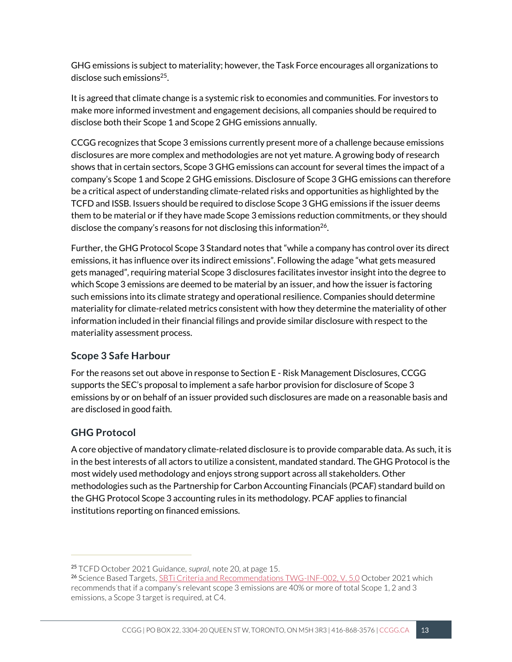GHG emissions is subject to materiality; however, the Task Force encourages all organizations to disclose such emissions<sup>25</sup>.

It is agreed that climate change is a systemic risk to economies and communities. For investors to make more informed investment and engagement decisions, all companies should be required to disclose both their Scope 1 and Scope 2 GHG emissions annually.

CCGG recognizes that Scope 3 emissions currently present more of a challenge because emissions disclosures are more complex and methodologies are not yet mature. A growing body of research shows that in certain sectors, Scope 3 GHG emissions can account for several times the impact of a company's Scope 1 and Scope 2 GHG emissions. Disclosure of Scope 3 GHG emissions can therefore be a critical aspect of understanding climate-related risks and opportunities as highlighted by the TCFD and ISSB. Issuers should be required to disclose Scope 3 GHG emissions if the issuer deems them to be material or if they have made Scope 3 emissions reduction commitments, or they should disclose the company's reasons for not disclosing this information<sup>26</sup>.

Further, the GHG Protocol Scope 3 Standard notes that "while a company has control over its direct emissions, it has influence over its indirect emissions". Following the adage "what gets measured gets managed", requiring material Scope 3 disclosures facilitates investor insight into the degree to which Scope 3 emissions are deemed to be material by an issuer, and how the issuer is factoring such emissions into its climate strategy and operational resilience. Companies should determine materiality for climate-related metrics consistent with how they determine the materiality of other information included in their financial filings and provide similar disclosure with respect to the materiality assessment process.

#### **Scope 3 Safe Harbour**

For the reasons set out above in response to Section E - Risk Management Disclosures, CCGG supports the SEC's proposal to implement a safe harbor provision for disclosure of Scope 3 emissions by or on behalf of an issuer provided such disclosures are made on a reasonable basis and are disclosed in good faith.

### **GHG Protocol**

A core objective of mandatory climate-related disclosure is to provide comparable data. As such, it is in the best interests of all actors to utilize a consistent, mandated standard. The GHG Protocol is the most widely used methodology and enjoys strong support across all stakeholders. Other methodologies such as the Partnership for Carbon Accounting Financials (PCAF) standard build on the GHG Protocol Scope 3 accounting rules in its methodology. PCAF applies to financial institutions reporting on financed emissions.

<sup>25</sup> TCFD October 2021 Guidance, *supraI,* note 20, at page 15.

<sup>&</sup>lt;sup>26</sup> Science Based Targets, **SBTi Criteria and Recommendations TWG-INF-002, V. 5.0 October 2021 which** recommends that if a company's relevant scope 3 emissions are 40% or more of total Scope 1, 2 and 3 emissions, a Scope 3 target is required, at C4.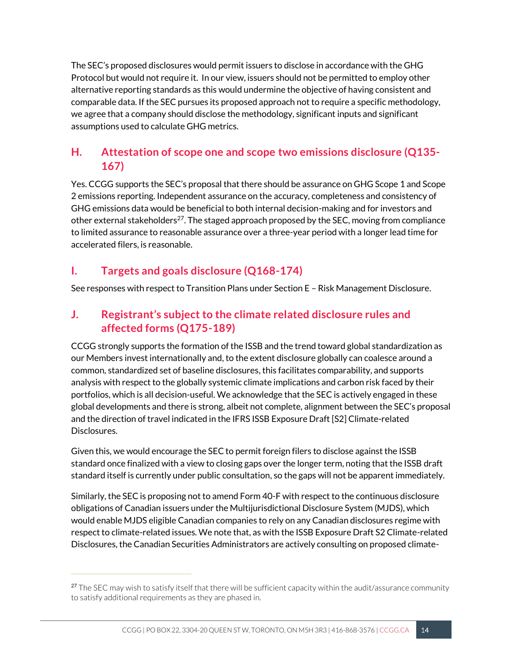The SEC's proposed disclosures would permit issuers to disclose in accordance with the GHG Protocol but would not require it. In our view, issuers should not be permitted to employ other alternative reporting standards as this would undermine the objective of having consistent and comparable data. If the SEC pursues its proposed approach not to require a specific methodology, we agree that a company should disclose the methodology, significant inputs and significant assumptions used to calculate GHG metrics.

## **H. Attestation of scope one and scope two emissions disclosure (Q135- 167)**

Yes. CCGG supports the SEC's proposal that there should be assurance on GHG Scope 1 and Scope 2 emissions reporting. Independent assurance on the accuracy, completeness and consistency of GHG emissions data would be beneficial to both internal decision-making and for investors and other external stakeholders<sup>27</sup>. The staged approach proposed by the SEC, moving from compliance to limited assurance to reasonable assurance over a three-year period with a longer lead time for accelerated filers, is reasonable.

## **I. Targets and goals disclosure (Q168-174)**

See responses with respect to Transition Plans under Section E – Risk Management Disclosure.

## **J. Registrant's subject to the climate related disclosure rules and affected forms (Q175-189)**

CCGG strongly supports the formation of the ISSB and the trend toward global standardization as our Members invest internationally and, to the extent disclosure globally can coalesce around a common, standardized set of baseline disclosures,this facilitates comparability, and supports analysis with respect to the globally systemic climate implications and carbon risk faced by their portfolios, which is all decision-useful. We acknowledge that the SEC is actively engaged in these global developments and there is strong, albeit not complete, alignment between the SEC's proposal and the direction of travel indicated in the IFRS ISSB Exposure Draft [S2] Climate-related Disclosures.

Given this, we would encourage the SEC to permit foreign filers to disclose against the ISSB standard once finalized with a view to closing gaps over the longer term, noting that the ISSB draft standard itself is currently under public consultation, so the gaps will not be apparent immediately.

Similarly, the SEC is proposing not to amend Form 40-F with respect to the continuous disclosure obligations of Canadian issuers under the Multijurisdictional Disclosure System (MJDS), which would enable MJDS eligible Canadian companies to rely on any Canadian disclosures regime with respect to climate-related issues. We note that, as with the ISSB Exposure Draft S2 Climate-related Disclosures, the Canadian Securities Administrators are actively consulting on proposed climate-

<sup>&</sup>lt;sup>27</sup> The SEC may wish to satisfy itself that there will be sufficient capacity within the audit/assurance community to satisfy additional requirements as they are phased in.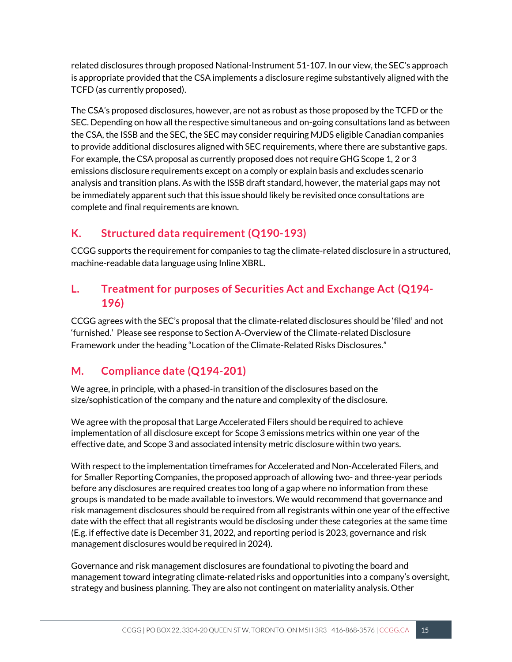related disclosures through proposed National-Instrument 51-107. In our view, the SEC's approach is appropriate provided that the CSA implements a disclosure regime substantively aligned with the TCFD (as currently proposed).

The CSA's proposed disclosures, however, are not as robust as those proposed by the TCFD or the SEC. Depending on how all the respective simultaneous and on-going consultations land as between the CSA, the ISSB and the SEC, the SEC may consider requiring MJDS eligible Canadian companies to provide additional disclosures aligned with SEC requirements, where there are substantive gaps. For example, the CSA proposal as currently proposed does not require GHG Scope 1, 2 or 3 emissions disclosure requirements except on a comply or explain basis and excludes scenario analysis and transition plans. As with the ISSB draft standard, however, the material gaps may not be immediately apparent such that this issue should likely be revisited once consultations are complete and final requirements are known.

## **K. Structured data requirement (Q190-193)**

CCGG supports the requirement for companies to tag the climate-related disclosure in a structured, machine-readable data language using Inline XBRL.

### **L. Treatment for purposes of Securities Act and Exchange Act (Q194- 196)**

CCGG agrees with the SEC's proposal that the climate-related disclosures should be 'filed' and not 'furnished.' Please see response to Section A-Overview of the Climate-related Disclosure Framework under the heading "Location of the Climate-Related Risks Disclosures."

## **M. Compliance date (Q194-201)**

We agree, in principle, with a phased-in transition of the disclosures based on the size/sophistication of the company and the nature and complexity of the disclosure.

We agree with the proposal that Large Accelerated Filers should be required to achieve implementation of all disclosure except for Scope 3 emissions metrics within one year of the effective date, and Scope 3 and associated intensity metric disclosure within two years.

With respect to the implementation timeframes for Accelerated and Non-Accelerated Filers, and for Smaller Reporting Companies, the proposed approach of allowing two- and three-year periods before any disclosures are required creates too long of a gap where no information from these groups is mandated to be made available to investors. We would recommend that governance and risk management disclosures should be required from all registrants within one year of the effective date with the effect that all registrants would be disclosing under these categories at the same time (E.g. if effective date is December 31, 2022, and reporting period is 2023, governance and risk management disclosures would be required in 2024).

Governance and risk management disclosures are foundational to pivoting the board and management toward integrating climate-related risks and opportunities into a company's oversight, strategy and business planning. They are also not contingent on materiality analysis. Other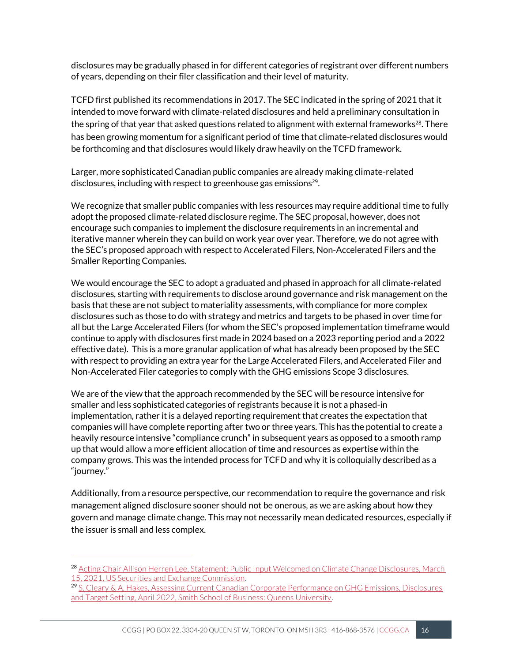disclosures may be gradually phased in for different categories of registrant over different numbers of years, depending on their filer classification and their level of maturity.

TCFD first published its recommendations in 2017. The SEC indicated in the spring of 2021 that it intended to move forward with climate-related disclosures and held a preliminary consultation in the spring of that year that asked questions related to alignment with external frameworks $^{28}$ . There has been growing momentum for a significant period of time that climate-related disclosures would be forthcoming and that disclosures would likely draw heavily on the TCFD framework.

Larger, more sophisticated Canadian public companies are already making climate-related disclosures, including with respect to greenhouse gas emissions<sup>29</sup>.

We recognize that smaller public companies with less resources may require additional time to fully adopt the proposed climate-related disclosure regime. The SEC proposal, however, does not encourage such companies to implement the disclosure requirements in an incremental and iterative manner wherein they can build on work year over year. Therefore, we do not agree with the SEC's proposed approach with respect to Accelerated Filers, Non-Accelerated Filers and the Smaller Reporting Companies.

We would encourage the SEC to adopt a graduated and phased in approach for all climate-related disclosures, starting with requirements to disclose around governance and risk management on the basis that these are not subject to materiality assessments, with compliance for more complex disclosures such as those to do with strategy and metrics and targets to be phased in over time for all but the Large Accelerated Filers (for whom the SEC's proposed implementation timeframe would continue to apply with disclosures first made in 2024 based on a 2023 reporting period and a 2022 effective date). This is a more granular application of what has already been proposed by the SEC with respect to providing an extra year for the Large Accelerated Filers, and Accelerated Filer and Non-Accelerated Filer categories to comply with the GHG emissions Scope 3 disclosures.

We are of the view that the approach recommended by the SEC will be resource intensive for smaller and less sophisticated categories of registrants because it is not a phased-in implementation, rather it is a delayed reporting requirement that creates the expectation that companies will have complete reporting after two or three years. This has the potential to create a heavily resource intensive "compliance crunch" in subsequent years as opposed to a smooth ramp up that would allow a more efficient allocation of time and resources as expertise within the company grows. This was the intended process for TCFD and why it is colloquially described as a "journey."

Additionally, from a resource perspective, our recommendation to require the governance and risk management aligned disclosure sooner should not be onerous, as we are asking about how they govern and manage climate change. This may not necessarily mean dedicated resources, especially if the issuer is small and less complex.

<sup>&</sup>lt;sup>28</sup> Acting Chair Allison Herren Lee, Statement: Public Input Welcomed on Climate Change Disclosures, March [15, 2021, US Securities and Exchange Commission.](https://www.sec.gov/news/public-statement/lee-climate-change-disclosures)

<sup>29</sup> S. Cleary & A. Hakes, Assessing Current Canadian Corporate Performance on GHG Emissions, Disclosures [and Target Setting, April 2022, Smith School of Business: Queens University.](https://smith.queensu.ca/centres/isf/pdfs/ISF-TSXEmittersReport.pdf)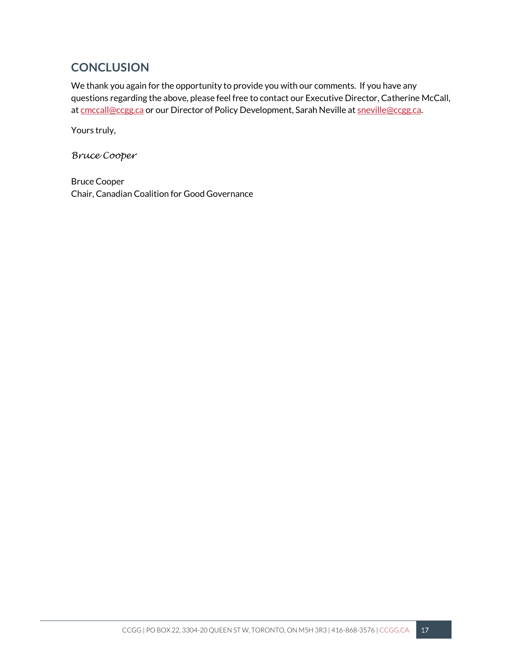# **CONCLUSION**

We thank you again for the opportunity to provide you with our comments. If you have any questions regarding the above, please feel free to contact our Executive Director, Catherine McCall, a[t cmccall@ccgg.ca](mailto:cmccall@ccgg.ca) or our Director of Policy Development, Sarah Neville a[t sneville@ccgg.ca.](mailto:sneville@ccgg.ca)

Yours truly,

*Bruce Cooper*

Bruce Cooper Chair, Canadian Coalition for Good Governance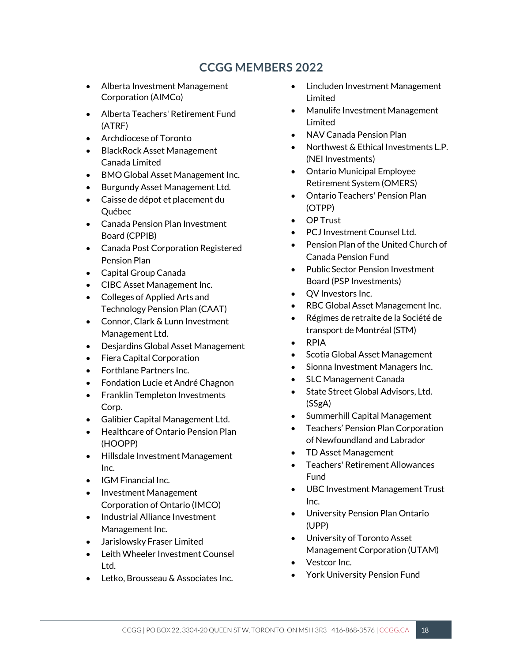# **CCGG MEMBERS 2022**

- Alberta Investment Management Corporation (AIMCo)
- Alberta Teachers' Retirement Fund (ATRF)
- Archdiocese of Toronto
- BlackRock Asset Management Canada Limited
- BMO Global Asset Management Inc.
- Burgundy Asset Management Ltd.
- Caisse de dépot et placement du Québec
- Canada Pension Plan Investment Board (CPPIB)
- Canada Post Corporation Registered Pension Plan
- Capital Group Canada
- CIBC Asset Management Inc.
- Colleges of Applied Arts and Technology Pension Plan (CAAT)
- Connor, Clark & Lunn Investment Management Ltd.
- Desjardins Global Asset Management
- Fiera Capital Corporation
- Forthlane Partners Inc.
- Fondation Lucie et André Chagnon
- Franklin Templeton Investments Corp.
- Galibier Capital Management Ltd.
- Healthcare of Ontario Pension Plan (HOOPP)
- Hillsdale Investment Management Inc.
- IGM Financial Inc.
- Investment Management Corporation of Ontario (IMCO)
- Industrial Alliance Investment Management Inc.
- Jarislowsky Fraser Limited
- Leith Wheeler Investment Counsel Ltd.
- Letko, Brousseau & Associates Inc.
- Lincluden Investment Management Limited
- Manulife Investment Management Limited
- NAV Canada Pension Plan
- Northwest & Ethical Investments L.P. (NEI Investments)
- Ontario Municipal Employee Retirement System (OMERS)
- Ontario Teachers' Pension Plan (OTPP)
- OP Trust
- PCJ Investment Counsel Ltd.
- Pension Plan of the United Church of Canada Pension Fund
- Public Sector Pension Investment Board (PSP Investments)
- QV Investors Inc.
- RBC Global Asset Management Inc.
- Régimes de retraite de la Société de transport de Montréal (STM)
- RPIA
- Scotia Global Asset Management
- Sionna Investment Managers Inc.
- SLC Management Canada
- State Street Global Advisors, Ltd. (SSgA)
- Summerhill Capital Management
- Teachers' Pension Plan Corporation of Newfoundland and Labrador
- TD Asset Management
- Teachers' Retirement Allowances Fund
- UBC Investment Management Trust Inc.
- University Pension Plan Ontario (UPP)
- University of Toronto Asset Management Corporation (UTAM)
- Vestcor Inc.
- York University Pension Fund